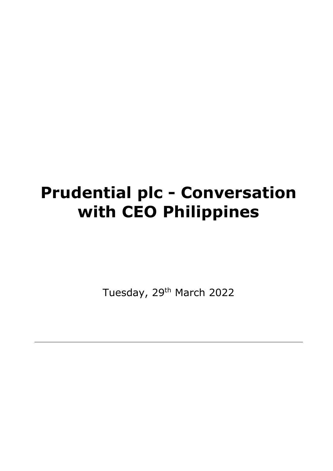# **Prudential plc - Conversation with CEO Philippines**

Tuesday, 29<sup>th</sup> March 2022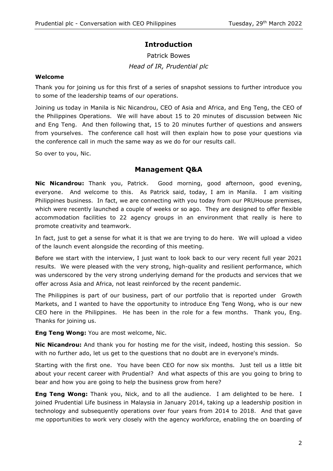## **Introduction**

# Patrick Bowes *Head of IR, Prudential plc*

### **Welcome**

Thank you for joining us for this first of a series of snapshot sessions to further introduce you to some of the leadership teams of our operations.

Joining us today in Manila is Nic Nicandrou, CEO of Asia and Africa, and Eng Teng, the CEO of the Philippines Operations. We will have about 15 to 20 minutes of discussion between Nic and Eng Teng. And then following that, 15 to 20 minutes further of questions and answers from yourselves. The conference call host will then explain how to pose your questions via the conference call in much the same way as we do for our results call.

So over to you, Nic.

## **Management Q&A**

**Nic Nicandrou:** Thank you, Patrick. Good morning, good afternoon, good evening, everyone. And welcome to this. As Patrick said, today, I am in Manila. I am visiting Philippines business. In fact, we are connecting with you today from our PRUHouse premises, which were recently launched a couple of weeks or so ago. They are designed to offer flexible accommodation facilities to 22 agency groups in an environment that really is here to promote creativity and teamwork.

In fact, just to get a sense for what it is that we are trying to do here. We will upload a video of the launch event alongside the recording of this meeting.

Before we start with the interview, I just want to look back to our very recent full year 2021 results. We were pleased with the very strong, high-quality and resilient performance, which was underscored by the very strong underlying demand for the products and services that we offer across Asia and Africa, not least reinforced by the recent pandemic.

The Philippines is part of our business, part of our portfolio that is reported under Growth Markets, and I wanted to have the opportunity to introduce Eng Teng Wong, who is our new CEO here in the Philippines. He has been in the role for a few months. Thank you, Eng. Thanks for joining us.

**Eng Teng Wong:** You are most welcome, Nic.

**Nic Nicandrou:** And thank you for hosting me for the visit, indeed, hosting this session. So with no further ado, let us get to the questions that no doubt are in everyone's minds.

Starting with the first one. You have been CEO for now six months. Just tell us a little bit about your recent career with Prudential? And what aspects of this are you going to bring to bear and how you are going to help the business grow from here?

**Eng Teng Wong:** Thank you, Nick, and to all the audience. I am delighted to be here. I joined Prudential Life business in Malaysia in January 2014, taking up a leadership position in technology and subsequently operations over four years from 2014 to 2018. And that gave me opportunities to work very closely with the agency workforce, enabling the on boarding of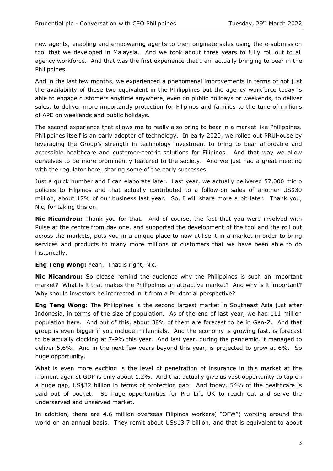new agents, enabling and empowering agents to then originate sales using the e-submission tool that we developed in Malaysia. And we took about three years to fully roll out to all agency workforce. And that was the first experience that I am actually bringing to bear in the Philippines.

And in the last few months, we experienced a phenomenal improvements in terms of not just the availability of these two equivalent in the Philippines but the agency workforce today is able to engage customers anytime anywhere, even on public holidays or weekends, to deliver sales, to deliver more importantly protection for Filipinos and families to the tune of millions of APE on weekends and public holidays.

The second experience that allows me to really also bring to bear in a market like Philippines. Philippines itself is an early adopter of technology. In early 2020, we rolled out PRUHouse by leveraging the Group's strength in technology investment to bring to bear affordable and accessible healthcare and customer-centric solutions for Filipinos. And that way we allow ourselves to be more prominently featured to the society. And we just had a great meeting with the regulator here, sharing some of the early successes.

Just a quick number and I can elaborate later. Last year, we actually delivered 57,000 micro policies to Filipinos and that actually contributed to a follow-on sales of another US\$30 million, about 17% of our business last year. So, I will share more a bit later. Thank you, Nic, for taking this on.

**Nic Nicandrou:** Thank you for that. And of course, the fact that you were involved with Pulse at the centre from day one, and supported the development of the tool and the roll out across the markets, puts you in a unique place to now utilise it in a market in order to bring services and products to many more millions of customers that we have been able to do historically.

**Eng Teng Wong:** Yeah. That is right, Nic.

**Nic Nicandrou:** So please remind the audience why the Philippines is such an important market? What is it that makes the Philippines an attractive market? And why is it important? Why should investors be interested in it from a Prudential perspective?

**Eng Teng Wong:** The Philippines is the second largest market in Southeast Asia just after Indonesia, in terms of the size of population. As of the end of last year, we had 111 million population here. And out of this, about 38% of them are forecast to be in Gen-Z. And that group is even bigger if you include millennials. And the economy is growing fast, is forecast to be actually clocking at 7-9% this year. And last year, during the pandemic, it managed to deliver 5.6%. And in the next few years beyond this year, is projected to grow at 6%. So huge opportunity.

What is even more exciting is the level of penetration of insurance in this market at the moment against GDP is only about 1.2%. And that actually give us vast opportunity to tap on a huge gap, US\$32 billion in terms of protection gap. And today, 54% of the healthcare is paid out of pocket. So huge opportunities for Pru Life UK to reach out and serve the underserved and unserved market.

In addition, there are 4.6 million overseas Filipinos workers( "OFW") working around the world on an annual basis. They remit about US\$13.7 billion, and that is equivalent to about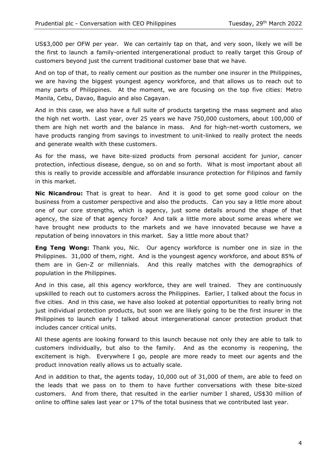US\$3,000 per OFW per year. We can certainly tap on that, and very soon, likely we will be the first to launch a family-oriented intergenerational product to really target this Group of customers beyond just the current traditional customer base that we have.

And on top of that, to really cement our position as the number one insurer in the Philippines, we are having the biggest youngest agency workforce, and that allows us to reach out to many parts of Philippines. At the moment, we are focusing on the top five cities: Metro Manila, Cebu, Davao, Baguio and also Cagayan.

And in this case, we also have a full suite of products targeting the mass segment and also the high net worth. Last year, over 25 years we have 750,000 customers, about 100,000 of them are high net worth and the balance in mass. And for high-net-worth customers, we have products ranging from savings to investment to unit-linked to really protect the needs and generate wealth with these customers.

As for the mass, we have bite-sized products from personal accident for junior, cancer protection, infectious disease, dengue, so on and so forth. What is most important about all this is really to provide accessible and affordable insurance protection for Filipinos and family in this market.

**Nic Nicandrou:** That is great to hear. And it is good to get some good colour on the business from a customer perspective and also the products. Can you say a little more about one of our core strengths, which is agency, just some details around the shape of that agency, the size of that agency force? And talk a little more about some areas where we have brought new products to the markets and we have innovated because we have a reputation of being innovators in this market. Say a little more about that?

**Eng Teng Wong:** Thank you, Nic. Our agency workforce is number one in size in the Philippines. 31,000 of them, right. And is the youngest agency workforce, and about 85% of them are in Gen-Z or millennials. And this really matches with the demographics of population in the Philippines.

And in this case, all this agency workforce, they are well trained. They are continuously upskilled to reach out to customers across the Philippines. Earlier, I talked about the focus in five cities. And in this case, we have also looked at potential opportunities to really bring not just individual protection products, but soon we are likely going to be the first insurer in the Philippines to launch early I talked about intergenerational cancer protection product that includes cancer critical units.

All these agents are looking forward to this launch because not only they are able to talk to customers individually, but also to the family. And as the economy is reopening, the excitement is high. Everywhere I go, people are more ready to meet our agents and the product innovation really allows us to actually scale.

And in addition to that, the agents today, 10,000 out of 31,000 of them, are able to feed on the leads that we pass on to them to have further conversations with these bite-sized customers. And from there, that resulted in the earlier number I shared, US\$30 million of online to offline sales last year or 17% of the total business that we contributed last year.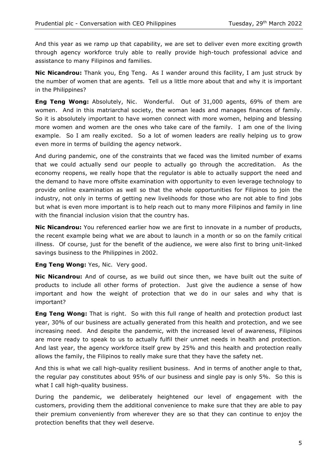And this year as we ramp up that capability, we are set to deliver even more exciting growth through agency workforce truly able to really provide high-touch professional advice and assistance to many Filipinos and families.

**Nic Nicandrou:** Thank you, Eng Teng. As I wander around this facility, I am just struck by the number of women that are agents. Tell us a little more about that and why it is important in the Philippines?

**Eng Teng Wong:** Absolutely, Nic. Wonderful. Out of 31,000 agents, 69% of them are women. And in this matriarchal society, the woman leads and manages finances of family. So it is absolutely important to have women connect with more women, helping and blessing more women and women are the ones who take care of the family. I am one of the living example. So I am really excited. So a lot of women leaders are really helping us to grow even more in terms of building the agency network.

And during pandemic, one of the constraints that we faced was the limited number of exams that we could actually send our people to actually go through the accreditation. As the economy reopens, we really hope that the regulator is able to actually support the need and the demand to have more offsite examination with opportunity to even leverage technology to provide online examination as well so that the whole opportunities for Filipinos to join the industry, not only in terms of getting new livelihoods for those who are not able to find jobs but what is even more important is to help reach out to many more Filipinos and family in line with the financial inclusion vision that the country has.

**Nic Nicandrou:** You referenced earlier how we are first to innovate in a number of products, the recent example being what we are about to launch in a month or so on the family critical illness. Of course, just for the benefit of the audience, we were also first to bring unit-linked savings business to the Philippines in 2002.

**Eng Teng Wong:** Yes, Nic. Very good.

**Nic Nicandrou:** And of course, as we build out since then, we have built out the suite of products to include all other forms of protection. Just give the audience a sense of how important and how the weight of protection that we do in our sales and why that is important?

**Eng Teng Wong:** That is right. So with this full range of health and protection product last year, 30% of our business are actually generated from this health and protection, and we see increasing need. And despite the pandemic, with the increased level of awareness, Filipinos are more ready to speak to us to actually fulfil their unmet needs in health and protection. And last year, the agency workforce itself grew by 25% and this health and protection really allows the family, the Filipinos to really make sure that they have the safety net.

And this is what we call high-quality resilient business. And in terms of another angle to that, the regular pay constitutes about 95% of our business and single pay is only 5%. So this is what I call high-quality business.

During the pandemic, we deliberately heightened our level of engagement with the customers, providing them the additional convenience to make sure that they are able to pay their premium conveniently from wherever they are so that they can continue to enjoy the protection benefits that they well deserve.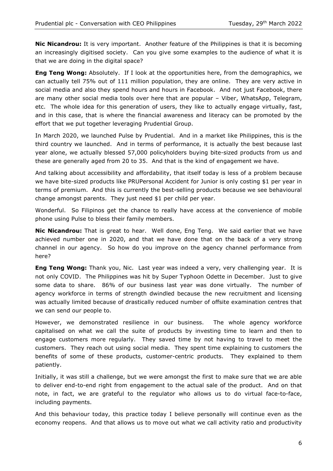**Nic Nicandrou:** It is very important. Another feature of the Philippines is that it is becoming an increasingly digitised society. Can you give some examples to the audience of what it is that we are doing in the digital space?

**Eng Teng Wong:** Absolutely. If I look at the opportunities here, from the demographics, we can actually tell 75% out of 111 million population, they are online. They are very active in social media and also they spend hours and hours in Facebook. And not just Facebook, there are many other social media tools over here that are popular – Viber, WhatsApp, Telegram, etc. The whole idea for this generation of users, they like to actually engage virtually, fast, and in this case, that is where the financial awareness and literacy can be promoted by the effort that we put together leveraging Prudential Group.

In March 2020, we launched Pulse by Prudential. And in a market like Philippines, this is the third country we launched. And in terms of performance, it is actually the best because last year alone, we actually blessed 57,000 policyholders buying bite-sized products from us and these are generally aged from 20 to 35. And that is the kind of engagement we have.

And talking about accessibility and affordability, that itself today is less of a problem because we have bite-sized products like PRUPersonal Accident for Junior is only costing \$1 per year in terms of premium. And this is currently the best-selling products because we see behavioural change amongst parents. They just need \$1 per child per year.

Wonderful. So Filipinos get the chance to really have access at the convenience of mobile phone using Pulse to bless their family members.

**Nic Nicandrou:** That is great to hear. Well done, Eng Teng. We said earlier that we have achieved number one in 2020, and that we have done that on the back of a very strong channel in our agency. So how do you improve on the agency channel performance from here?

**Eng Teng Wong:** Thank you, Nic. Last year was indeed a very, very challenging year. It is not only COVID. The Philippines was hit by Super Typhoon Odette in December. Just to give some data to share. 86% of our business last year was done virtually. The number of agency workforce in terms of strength dwindled because the new recruitment and licensing was actually limited because of drastically reduced number of offsite examination centres that we can send our people to.

However, we demonstrated resilience in our business. The whole agency workforce capitalised on what we call the suite of products by investing time to learn and then to engage customers more regularly. They saved time by not having to travel to meet the customers. They reach out using social media. They spent time explaining to customers the benefits of some of these products, customer-centric products. They explained to them patiently.

Initially, it was still a challenge, but we were amongst the first to make sure that we are able to deliver end-to-end right from engagement to the actual sale of the product. And on that note, in fact, we are grateful to the regulator who allows us to do virtual face-to-face, including payments.

And this behaviour today, this practice today I believe personally will continue even as the economy reopens. And that allows us to move out what we call activity ratio and productivity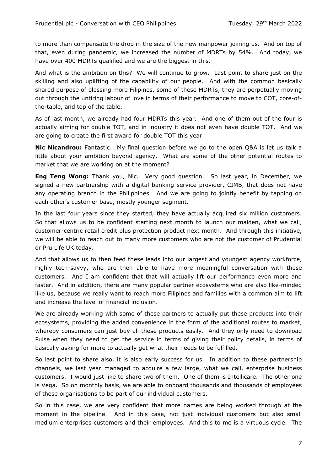to more than compensate the drop in the size of the new manpower joining us. And on top of that, even during pandemic, we increased the number of MDRTs by 54%. And today, we have over 400 MDRTs qualified and we are the biggest in this.

And what is the ambition on this? We will continue to grow. Last point to share just on the skilling and also uplifting of the capability of our people. And with the common basically shared purpose of blessing more Filipinos, some of these MDRTs, they are perpetually moving out through the untiring labour of love in terms of their performance to move to COT, core-ofthe-table, and top of the table.

As of last month, we already had four MDRTs this year. And one of them out of the four is actually aiming for double TOT, and in industry it does not even have double TOT. And we are going to create the first award for double TOT this year.

**Nic Nicandrou:** Fantastic. My final question before we go to the open Q&A is let us talk a little about your ambition beyond agency. What are some of the other potential routes to market that we are working on at the moment?

**Eng Teng Wong:** Thank you, Nic. Very good question. So last year, in December, we signed a new partnership with a digital banking service provider, CIMB, that does not have any operating branch in the Philippines. And we are going to jointly benefit by tapping on each other's customer base, mostly younger segment.

In the last four years since they started, they have actually acquired six million customers. So that allows us to be confident starting next month to launch our maiden, what we call, customer-centric retail credit plus protection product next month. And through this initiative, we will be able to reach out to many more customers who are not the customer of Prudential or Pru Life UK today.

And that allows us to then feed these leads into our largest and youngest agency workforce, highly tech-savvy, who are then able to have more meaningful conversation with these customers. And I am confident that that will actually lift our performance even more and faster. And in addition, there are many popular partner ecosystems who are also like-minded like us, because we really want to reach more Filipinos and families with a common aim to lift and increase the level of financial inclusion.

We are already working with some of these partners to actually put these products into their ecosystems, providing the added convenience in the form of the additional routes to market, whereby consumers can just buy all these products easily. And they only need to download Pulse when they need to get the service in terms of giving their policy details, in terms of basically asking for more to actually get what their needs to be fulfilled.

So last point to share also, it is also early success for us. In addition to these partnership channels, we last year managed to acquire a few large, what we call, enterprise business customers. I would just like to share two of them. One of them is Intellicare. The other one is Vega. So on monthly basis, we are able to onboard thousands and thousands of employees of these organisations to be part of our individual customers.

So in this case, we are very confident that more names are being worked through at the moment in the pipeline. And in this case, not just individual customers but also small medium enterprises customers and their employees. And this to me is a virtuous cycle. The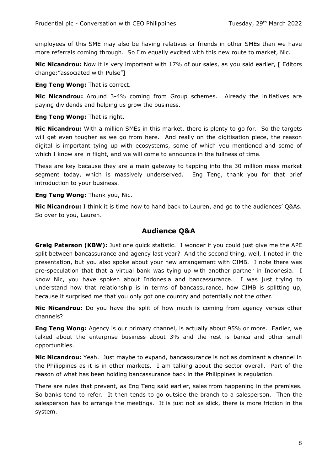employees of this SME may also be having relatives or friends in other SMEs than we have more referrals coming through. So I'm equally excited with this new route to market, Nic.

**Nic Nicandrou:** Now it is very important with 17% of our sales, as you said earlier, [ Editors change:"associated with Pulse"]

**Eng Teng Wong:** That is correct.

**Nic Nicandrou:** Around 3-4% coming from Group schemes. Already the initiatives are paying dividends and helping us grow the business.

**Eng Teng Wong:** That is right.

**Nic Nicandrou:** With a million SMEs in this market, there is plenty to go for. So the targets will get even tougher as we go from here. And really on the digitisation piece, the reason digital is important tying up with ecosystems, some of which you mentioned and some of which I know are in flight, and we will come to announce in the fullness of time.

These are key because they are a main gateway to tapping into the 30 million mass market segment today, which is massively underserved. Eng Teng, thank you for that brief introduction to your business.

**Eng Teng Wong:** Thank you, Nic.

**Nic Nicandrou:** I think it is time now to hand back to Lauren, and go to the audiences' Q&As. So over to you, Lauren.

## **Audience Q&A**

**Greig Paterson (KBW):** Just one quick statistic. I wonder if you could just give me the APE split between bancassurance and agency last year? And the second thing, well, I noted in the presentation, but you also spoke about your new arrangement with CIMB. I note there was pre-speculation that that a virtual bank was tying up with another partner in Indonesia. I know Nic, you have spoken about Indonesia and bancassurance. I was just trying to understand how that relationship is in terms of bancassurance, how CIMB is splitting up, because it surprised me that you only got one country and potentially not the other.

**Nic Nicandrou:** Do you have the split of how much is coming from agency versus other channels?

**Eng Teng Wong:** Agency is our primary channel, is actually about 95% or more. Earlier, we talked about the enterprise business about 3% and the rest is banca and other small opportunities.

**Nic Nicandrou:** Yeah. Just maybe to expand, bancassurance is not as dominant a channel in the Philippines as it is in other markets. I am talking about the sector overall. Part of the reason of what has been holding bancassurance back in the Philippines is regulation.

There are rules that prevent, as Eng Teng said earlier, sales from happening in the premises. So banks tend to refer. It then tends to go outside the branch to a salesperson. Then the salesperson has to arrange the meetings. It is just not as slick, there is more friction in the system.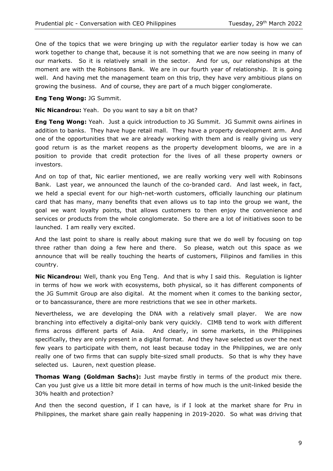One of the topics that we were bringing up with the regulator earlier today is how we can work together to change that, because it is not something that we are now seeing in many of our markets. So it is relatively small in the sector. And for us, our relationships at the moment are with the Robinsons Bank. We are in our fourth year of relationship. It is going well. And having met the management team on this trip, they have very ambitious plans on growing the business. And of course, they are part of a much bigger conglomerate.

**Eng Teng Wong:** JG Summit.

**Nic Nicandrou:** Yeah. Do you want to say a bit on that?

**Eng Teng Wong:** Yeah. Just a quick introduction to JG Summit. JG Summit owns airlines in addition to banks. They have huge retail mall. They have a property development arm. And one of the opportunities that we are already working with them and is really giving us very good return is as the market reopens as the property development blooms, we are in a position to provide that credit protection for the lives of all these property owners or investors.

And on top of that, Nic earlier mentioned, we are really working very well with Robinsons Bank. Last year, we announced the launch of the co-branded card. And last week, in fact, we held a special event for our high-net-worth customers, officially launching our platinum card that has many, many benefits that even allows us to tap into the group we want, the goal we want loyalty points, that allows customers to then enjoy the convenience and services or products from the whole conglomerate. So there are a lot of initiatives soon to be launched. I am really very excited.

And the last point to share is really about making sure that we do well by focusing on top three rather than doing a few here and there. So please, watch out this space as we announce that will be really touching the hearts of customers, Filipinos and families in this country.

**Nic Nicandrou:** Well, thank you Eng Teng. And that is why I said this. Regulation is lighter in terms of how we work with ecosystems, both physical, so it has different components of the JG Summit Group are also digital. At the moment when it comes to the banking sector, or to bancassurance, there are more restrictions that we see in other markets.

Nevertheless, we are developing the DNA with a relatively small player. We are now branching into effectively a digital-only bank very quickly. CIMB tend to work with different firms across different parts of Asia. And clearly, in some markets, in the Philippines specifically, they are only present in a digital format. And they have selected us over the next few years to participate with them, not least because today in the Philippines, we are only really one of two firms that can supply bite-sized small products. So that is why they have selected us. Lauren, next question please.

**Thomas Wang (Goldman Sachs):** Just maybe firstly in terms of the product mix there. Can you just give us a little bit more detail in terms of how much is the unit-linked beside the 30% health and protection?

And then the second question, if I can have, is if I look at the market share for Pru in Philippines, the market share gain really happening in 2019-2020. So what was driving that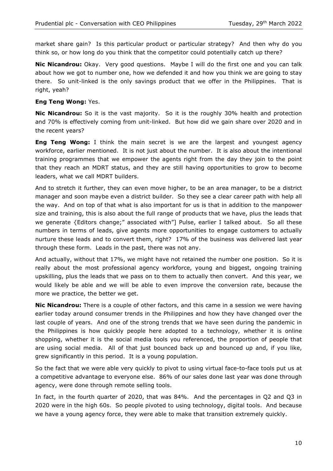market share gain? Is this particular product or particular strategy? And then why do you think so, or how long do you think that the competitor could potentially catch up there?

**Nic Nicandrou:** Okay. Very good questions. Maybe I will do the first one and you can talk about how we got to number one, how we defended it and how you think we are going to stay there. So unit-linked is the only savings product that we offer in the Philippines. That is right, yeah?

### **Eng Teng Wong:** Yes.

**Nic Nicandrou:** So it is the vast majority. So it is the roughly 30% health and protection and 70% is effectively coming from unit-linked. But how did we gain share over 2020 and in the recent years?

**Eng Teng Wong:** I think the main secret is we are the largest and youngest agency workforce, earlier mentioned. It is not just about the number. It is also about the intentional training programmes that we empower the agents right from the day they join to the point that they reach an MDRT status, and they are still having opportunities to grow to become leaders, what we call MDRT builders.

And to stretch it further, they can even move higher, to be an area manager, to be a district manager and soon maybe even a district builder. So they see a clear career path with help all the way. And on top of that what is also important for us is that in addition to the manpower size and training, this is also about the full range of products that we have, plus the leads that we generate {Editors change;" associated with"] Pulse, earlier I talked about. So all these numbers in terms of leads, give agents more opportunities to engage customers to actually nurture these leads and to convert them, right? 17% of the business was delivered last year through these form. Leads in the past, there was not any.

And actually, without that 17%, we might have not retained the number one position. So it is really about the most professional agency workforce, young and biggest, ongoing training upskilling, plus the leads that we pass on to them to actually then convert. And this year, we would likely be able and we will be able to even improve the conversion rate, because the more we practice, the better we get.

**Nic Nicandrou:** There is a couple of other factors, and this came in a session we were having earlier today around consumer trends in the Philippines and how they have changed over the last couple of years. And one of the strong trends that we have seen during the pandemic in the Philippines is how quickly people here adopted to a technology, whether it is online shopping, whether it is the social media tools you referenced, the proportion of people that are using social media. All of that just bounced back up and bounced up and, if you like, grew significantly in this period. It is a young population.

So the fact that we were able very quickly to pivot to using virtual face-to-face tools put us at a competitive advantage to everyone else. 86% of our sales done last year was done through agency, were done through remote selling tools.

In fact, in the fourth quarter of 2020, that was 84%. And the percentages in Q2 and Q3 in 2020 were in the high 60s. So people pivoted to using technology, digital tools. And because we have a young agency force, they were able to make that transition extremely quickly.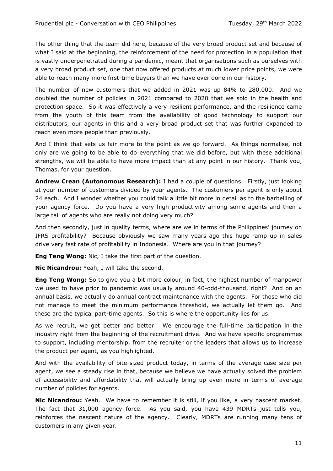The other thing that the team did here, because of the very broad product set and because of what I said at the beginning, the reinforcement of the need for protection in a population that is vastly underpenetrated during a pandemic, meant that organisations such as ourselves with a very broad product set, one that now offered products at much lower price points, we were able to reach many more first-time buyers than we have ever done in our history.

The number of new customers that we added in 2021 was up 84% to 280,000. And we doubled the number of policies in 2021 compared to 2020 that we sold in the health and protection space. So it was effectively a very resilient performance, and the resilience came from the youth of this team from the availability of good technology to support our distributors, our agents in this and a very broad product set that was further expanded to reach even more people than previously.

And I think that sets us fair more to the point as we go forward. As things normalise, not only are we going to be able to do everything that we did before, but with these additional strengths, we will be able to have more impact than at any point in our history. Thank you, Thomas, for your question.

**Andrew Crean (Autonomous Research):** I had a couple of questions. Firstly, just looking at your number of customers divided by your agents. The customers per agent is only about 24 each. And I wonder whether you could talk a little bit more in detail as to the barbelling of your agency force. Do you have a very high productivity among some agents and then a large tail of agents who are really not doing very much?

And then secondly, just in quality terms, where are we in terms of the Philippines' journey on IFRS profitability? Because obviously we saw many years ago this huge ramp up in sales drive very fast rate of profitability in Indonesia. Where are you in that journey?

**Eng Teng Wong:** Nic, I take the first part of the question.

**Nic Nicandrou:** Yeah, I will take the second.

**Eng Teng Wong:** So to give you a bit more colour, in fact, the highest number of manpower we used to have prior to pandemic was usually around 40-odd-thousand, right? And on an annual basis, we actually do annual contract maintenance with the agents. For those who did not manage to meet the minimum performance threshold, we actually let them go. And these are the typical part-time agents. So this is where the opportunity lies for us.

As we recruit, we get better and better. We encourage the full-time participation in the industry right from the beginning of the recruitment drive. And we have specific programmes to support, including mentorship, from the recruiter or the leaders that allows us to increase the product per agent, as you highlighted.

And with the availability of bite-sized product today, in terms of the average case size per agent, we see a steady rise in that, because we believe we have actually solved the problem of accessibility and affordability that will actually bring up even more in terms of average number of policies for agents.

**Nic Nicandrou:** Yeah. We have to remember it is still, if you like, a very nascent market. The fact that 31,000 agency force. As you said, you have 439 MDRTs just tells you, reinforces the nascent nature of the agency. Clearly, MDRTs are running many tens of customers in any given year.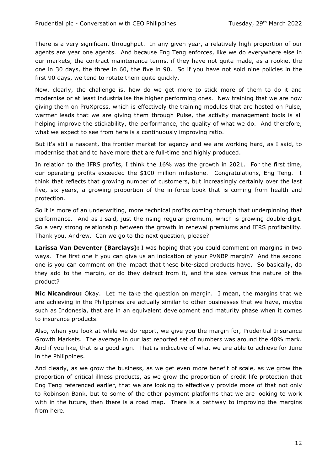There is a very significant throughput. In any given year, a relatively high proportion of our agents are year one agents. And because Eng Teng enforces, like we do everywhere else in our markets, the contract maintenance terms, if they have not quite made, as a rookie, the one in 30 days, the three in 60, the five in 90. So if you have not sold nine policies in the first 90 days, we tend to rotate them quite quickly.

Now, clearly, the challenge is, how do we get more to stick more of them to do it and modernise or at least industrialise the higher performing ones. New training that we are now giving them on PruXpress, which is effectively the training modules that are hosted on Pulse, warmer leads that we are giving them through Pulse, the activity management tools is all helping improve the stickability, the performance, the quality of what we do. And therefore, what we expect to see from here is a continuously improving ratio.

But it's still a nascent, the frontier market for agency and we are working hard, as I said, to modernise that and to have more that are full-time and highly produced.

In relation to the IFRS profits, I think the 16% was the growth in 2021. For the first time, our operating profits exceeded the \$100 million milestone. Congratulations, Eng Teng. I think that reflects that growing number of customers, but increasingly certainly over the last five, six years, a growing proportion of the in-force book that is coming from health and protection.

So it is more of an underwriting, more technical profits coming through that underpinning that performance. And as I said, just the rising regular premium, which is growing double-digit. So a very strong relationship between the growth in renewal premiums and IFRS profitability. Thank you, Andrew. Can we go to the next question, please?

**Larissa Van Deventer (Barclays):** I was hoping that you could comment on margins in two ways. The first one if you can give us an indication of your PVNBP margin? And the second one is you can comment on the impact that these bite-sized products have. So basically, do they add to the margin, or do they detract from it, and the size versus the nature of the product?

**Nic Nicandrou:** Okay. Let me take the question on margin. I mean, the margins that we are achieving in the Philippines are actually similar to other businesses that we have, maybe such as Indonesia, that are in an equivalent development and maturity phase when it comes to insurance products.

Also, when you look at while we do report, we give you the margin for, Prudential Insurance Growth Markets. The average in our last reported set of numbers was around the 40% mark. And if you like, that is a good sign. That is indicative of what we are able to achieve for June in the Philippines.

And clearly, as we grow the business, as we get even more benefit of scale, as we grow the proportion of critical illness products, as we grow the proportion of credit life protection that Eng Teng referenced earlier, that we are looking to effectively provide more of that not only to Robinson Bank, but to some of the other payment platforms that we are looking to work with in the future, then there is a road map. There is a pathway to improving the margins from here.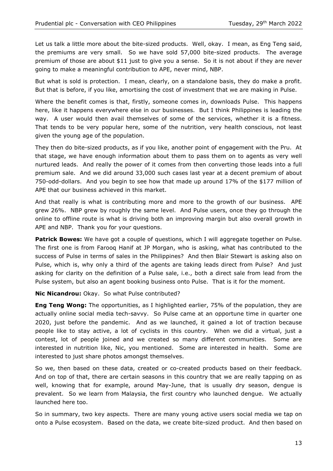Let us talk a little more about the bite-sized products. Well, okay. I mean, as Eng Teng said, the premiums are very small. So we have sold 57,000 bite-sized products. The average premium of those are about \$11 just to give you a sense. So it is not about if they are never going to make a meaningful contribution to APE, never mind, NBP.

But what is sold is protection. I mean, clearly, on a standalone basis, they do make a profit. But that is before, if you like, amortising the cost of investment that we are making in Pulse.

Where the benefit comes is that, firstly, someone comes in, downloads Pulse. This happens here, like it happens everywhere else in our businesses. But I think Philippines is leading the way. A user would then avail themselves of some of the services, whether it is a fitness. That tends to be very popular here, some of the nutrition, very health conscious, not least given the young age of the population.

They then do bite-sized products, as if you like, another point of engagement with the Pru. At that stage, we have enough information about them to pass them on to agents as very well nurtured leads. And really the power of it comes from then converting those leads into a full premium sale. And we did around 33,000 such cases last year at a decent premium of about 750-odd-dollars. And you begin to see how that made up around 17% of the \$177 million of APE that our business achieved in this market.

And that really is what is contributing more and more to the growth of our business. APE grew 26%. NBP grew by roughly the same level. And Pulse users, once they go through the online to offline route is what is driving both an improving margin but also overall growth in APE and NBP. Thank you for your questions.

**Patrick Bowes:** We have got a couple of questions, which I will aggregate together on Pulse. The first one is from Farooq Hanif at JP Morgan, who is asking, what has contributed to the success of Pulse in terms of sales in the Philippines? And then Blair Stewart is asking also on Pulse, which is, why only a third of the agents are taking leads direct from Pulse? And just asking for clarity on the definition of a Pulse sale, i.e., both a direct sale from lead from the Pulse system, but also an agent booking business onto Pulse. That is it for the moment.

**Nic Nicandrou:** Okay. So what Pulse contributed?

**Eng Teng Wong:** The opportunities, as I highlighted earlier, 75% of the population, they are actually online social media tech-savvy. So Pulse came at an opportune time in quarter one 2020, just before the pandemic. And as we launched, it gained a lot of traction because people like to stay active, a lot of cyclists in this country. When we did a virtual, just a contest, lot of people joined and we created so many different communities. Some are interested in nutrition like, Nic, you mentioned. Some are interested in health. Some are interested to just share photos amongst themselves.

So we, then based on these data, created or co-created products based on their feedback. And on top of that, there are certain seasons in this country that we are really tapping on as well, knowing that for example, around May-June, that is usually dry season, dengue is prevalent. So we learn from Malaysia, the first country who launched dengue. We actually launched here too.

So in summary, two key aspects. There are many young active users social media we tap on onto a Pulse ecosystem. Based on the data, we create bite-sized product. And then based on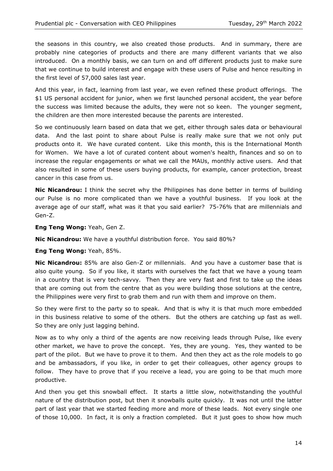the seasons in this country, we also created those products. And in summary, there are probably nine categories of products and there are many different variants that we also introduced. On a monthly basis, we can turn on and off different products just to make sure that we continue to build interest and engage with these users of Pulse and hence resulting in the first level of 57,000 sales last year.

And this year, in fact, learning from last year, we even refined these product offerings. The \$1 US personal accident for junior, when we first launched personal accident, the year before the success was limited because the adults, they were not so keen. The younger segment, the children are then more interested because the parents are interested.

So we continuously learn based on data that we get, either through sales data or behavioural data. And the last point to share about Pulse is really make sure that we not only put products onto it. We have curated content. Like this month, this is the International Month for Women. We have a lot of curated content about women's health, finances and so on to increase the regular engagements or what we call the MAUs, monthly active users. And that also resulted in some of these users buying products, for example, cancer protection, breast cancer in this case from us.

**Nic Nicandrou:** I think the secret why the Philippines has done better in terms of building our Pulse is no more complicated than we have a youthful business. If you look at the average age of our staff, what was it that you said earlier? 75-76% that are millennials and Gen-Z.

**Eng Teng Wong:** Yeah, Gen Z.

**Nic Nicandrou:** We have a youthful distribution force. You said 80%?

**Eng Teng Wong:** Yeah, 85%.

**Nic Nicandrou:** 85% are also Gen-Z or millennials. And you have a customer base that is also quite young. So if you like, it starts with ourselves the fact that we have a young team in a country that is very tech-savvy. Then they are very fast and first to take up the ideas that are coming out from the centre that as you were building those solutions at the centre, the Philippines were very first to grab them and run with them and improve on them.

So they were first to the party so to speak. And that is why it is that much more embedded in this business relative to some of the others. But the others are catching up fast as well. So they are only just lagging behind.

Now as to why only a third of the agents are now receiving leads through Pulse, like every other market, we have to prove the concept. Yes, they are young. Yes, they wanted to be part of the pilot. But we have to prove it to them. And then they act as the role models to go and be ambassadors, if you like, in order to get their colleagues, other agency groups to follow. They have to prove that if you receive a lead, you are going to be that much more productive.

And then you get this snowball effect. It starts a little slow, notwithstanding the youthful nature of the distribution post, but then it snowballs quite quickly. It was not until the latter part of last year that we started feeding more and more of these leads. Not every single one of those 10,000. In fact, it is only a fraction completed. But it just goes to show how much